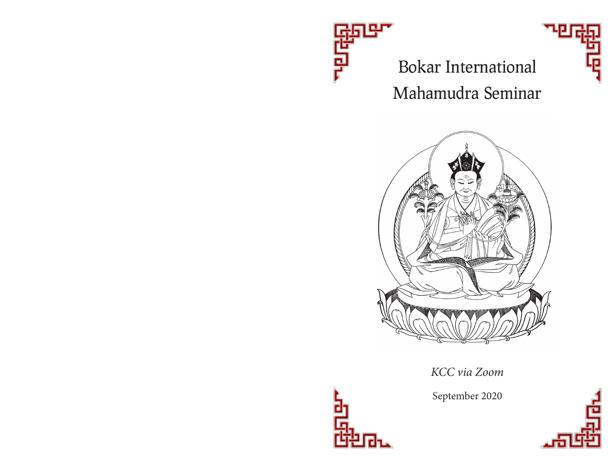

# Bokar International Mahamudra Seminar



*KCC via Zoom*

September 2020



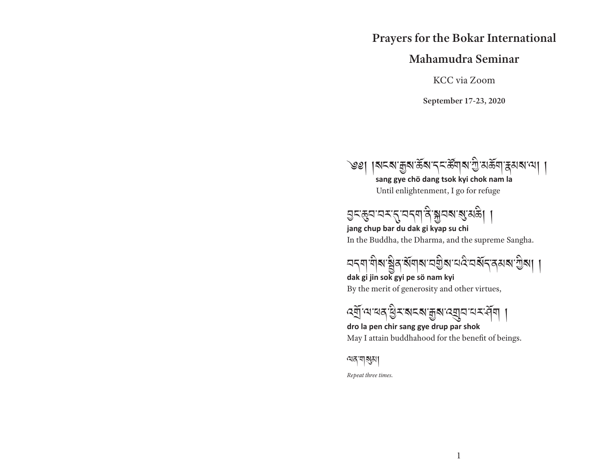### **Prayers for the Bokar International**

### **Mahamudra Seminar**

KCC via Zoom

**September 17-23, 2020**



Until enlightenment, I go for refuge



In the Buddha, the Dharma, and the supreme Sangha. **jang chup bar du dak gi kyap su chi** 

ଘন্মাণীৰাষ্ট্ৰিৰাৰ্ষামান্ৰগ্ৰীৰাম্বিমৰ্যন্ত্ৰৰাষ্ট্ৰৰা ।

By the merit of generosity and other virtues, **dak gi jin sok gyi pe sö nam kyi** 

বর্ষী আরি ব্রিমান্ত গ্রামী ।

May I attain buddhahood for the benefit of beings. **dro la pen chir sang gye drup par shok**

ལན་གསུམ།

*Repeat three times.*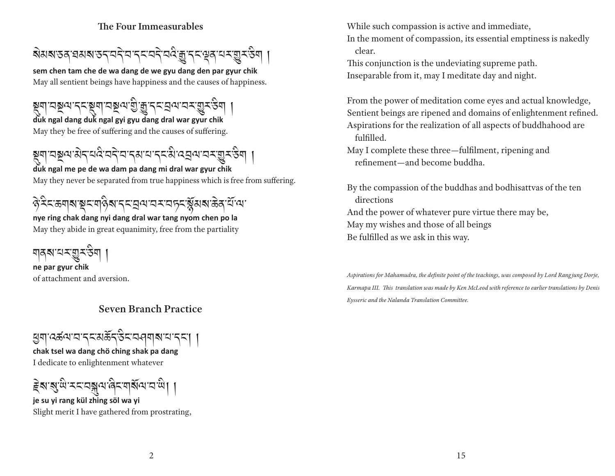#### **The Four Immeasurables**



May all sentient beings have happiness and the causes of happiness. **sem chen tam che de wa dang de we gyu dang den par gyur chik**

May they be free of suffering and the causes of suffering. **duk ngal dang duk ngal gyi gyu dang dral war gyur chik** য়ৄয়ঢ়ঢ়য়ড়৸ৼঢ়ৼয়৸ৼঢ়ড়৸ড়ৢ৸ৼঀ৸ৼ

য়ৄয়ঢ়ঽয়৸য়৾ঀৼঀ৻ৼ৸ৼ৸ৼঀৼ৸ৼ৸ৼঀৼ৾৸৸ৼঀ৸ৼঀঢ়ৢৼড়

May they never be separated from true happiness which is free from suffering. **duk ngal me pe de wa dam pa dang mi dral war gyur chik**

# ঔমিক্ষেম্মান্থম মাপ্তিমান্ত মন্ত্ৰাম্মান্ত মন্ত্ৰী কৰি বিভিন্ন কৰি বিভিন্ন কৰি বিভিন্ন কৰি বিভিন্ন কৰি বিভিন্ন

May they abide in great equanimity, free from the partiality **nye ring chak dang nyi dang dral war tang nyom chen po la** 

<u>মানম'মম্ভ্ৰম</u>ন

of attachment and aversion. **ne par gyur chik**

### **Seven Branch Practice**

ཕྱག་འཚལ་བ་དང་མད་ང་བཤགས་པ་དང་། །

I dedicate to enlightenment whatever **chak tsel wa dang chö ching shak pa dang** 

हेबाबुधि म्याञ्जलपादिन अधिकारी ।

Slight merit I have gathered from prostrating, **je su yi rang kül zhing söl wa yi** 

While such compassion is active and immediate,

In the moment of compassion, its essential emptiness is nakedly clear.

This conjunction is the undeviating supreme path. Inseparable from it, may I meditate day and night.

From the power of meditation come eyes and actual knowledge, Sentient beings are ripened and domains of enlightenment refined. Aspirations for the realization of all aspects of buddhahood are fulfilled.

May I complete these three—ful filment, ripening and refinement—and become buddha.

By the compassion of the buddhas and bodhisattvas of the ten directions And the power of whatever pure virtue there may be, May my wishes and those of all beings Be fulfilled as we ask in this way.

*Aspirations for Mahamudra, the de nite point of the teachings, was composed by Lord Rang jung Dorje,*  Karmapa III. This translation was made by Ken McLeod with reference to earlier translations by Denis *Eysseric and the Nalanda Translation Committee.*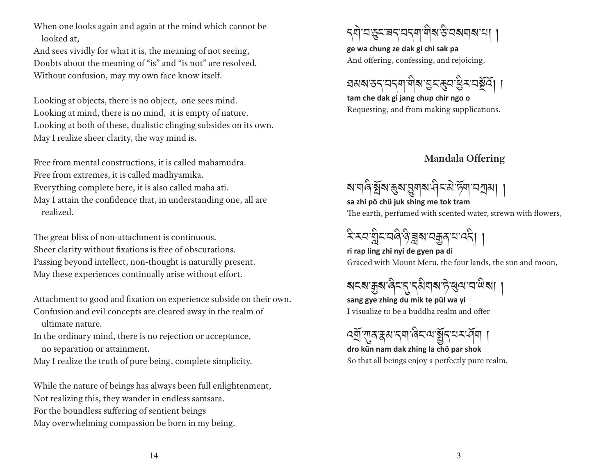When one looks again and again at the mind which cannot be looked at,

And sees vividly for what it is, the meaning of not seeing, Doubts about the meaning of "is" and "is not" are resolved. Without confusion, may my own face know itself.

Looking at objects, there is no object, one sees mind. Looking at mind, there is no mind, it is empty of nature. Looking at both of these, dualistic clinging subsides on its own. May I realize sheer clarity, the way mind is.

Free from mental constructions, it is called mahamudra. Free from extremes, it is called madhyamika. Everything complete here, it is also called maha ati. May I attain the confidence that, in understanding one, all are realized.

The great bliss of non-attachment is continuous. Sheer clarity without fixations is free of obscurations. Passing beyond intellect, non-thought is naturally present. May these experiences continually arise without effort.

Attachment to good and fixation on experience subside on their own. Confusion and evil concepts are cleared away in the realm of ultimate nature.

In the ordinary mind, there is no rejection or acceptance, no separation or attainment.

May I realize the truth of pure being, complete simplicity.

While the nature of beings has always been full enlightenment, Not realizing this, they wander in endless samsara. For the boundless suffering of sentient beings May overwhelming compassion be born in my being.



And offering, confessing, and rejoicing, **ge wa chung ze dak gi chi sak pa** 

ঘমৰাড়ন'ন্নমা'মীৰা'মুন্জুন'থ্ৰিম'নৰ্ষূৰ্য্য ।

Requesting, and from making supplications. **tam che dak gi jang chup chir ngo o**

### **Mandala Offering**

ষ'শবি'ষ্ট্ৰম'দ্ভুম'ফ্ৰ'-ইম'ৰ্টম'মস্ৰা ।

The earth, perfumed with scented water, strewn with flowers, **sa zhi pö chü juk shing me tok tram** 

খিমবান্নীমবৰীণ বিদ্যালয়ৰ বিদ্যা

Graced with Mount Meru, the four lands, the sun and moon, **ri rap ling zhi nyi de gyen pa di** 

ষমে:ক্কুম'ৰ্ন্বি'ন্'ন্মিমাৰ'ট'ৰ্ম্ম'ম'শ্মিমা ।

I visualize to be a buddha realm and offer **sang gye zhing du mik te pül wa yi** 

ৎশ্ৰ্ণ শাৰাস্বৰ বিদ্যালী ।

So that all beings enjoy a perfectly pure realm. **dro kün nam dak zhing la chö par shok**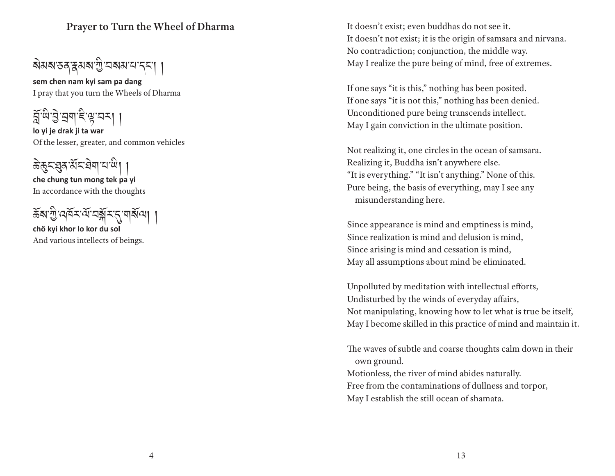### **Prayer to Turn the Wheel of Dharma**

ষমৰাত্ত ক্ষমৰাত্ৰী বৰ্ষমান্দৰে ।

I pray that you turn the Wheels of Dharma **sem chen nam kyi sam pa dang**

**lo yi je drak ji ta war** ন্ন্ৰঞ্জী ট্ৰান্ন বিভিন্ন ।

Of the lesser, greater, and common vehicles

ङेछुदञ्जुबार्येदावेषायाणी

In accordance with the thoughts **che chung tun mong tek pa yi**

ས་་འར་་བར་དུ་གལ། །

And various intellects of beings. **chӧ kyi khor lo kor du sol**

It doesn't exist; even buddhas do not see it. It doesn't not exist; it is the origin of samsara and nirvana. No contradiction; conjunction, the middle way. May I realize the pure being of mind, free of extremes.

If one says "it is this," nothing has been posited. If one says "it is not this," nothing has been denied. Unconditioned pure being transcends intellect. May I gain conviction in the ultimate position.

Not realizing it, one circles in the ocean of samsara. Realizing it, Buddha isn't anywhere else. "It is everything." "It isn't anything." None of this. Pure being, the basis of everything, may I see any misunderstanding here.

Since appearance is mind and emptiness is mind, Since realization is mind and delusion is mind, Since arising is mind and cessation is mind, May all assumptions about mind be eliminated.

Unpolluted by meditation with intellectual efforts, Undisturbed by the winds of everyday affairs, Not manipulating, knowing how to let what is true be itself, May I become skilled in this practice of mind and maintain it.

The waves of subtle and coarse thoughts calm down in their own ground.

Motionless, the river of mind abides naturally. Free from the contaminations of dullness and torpor, May I establish the still ocean of shamata.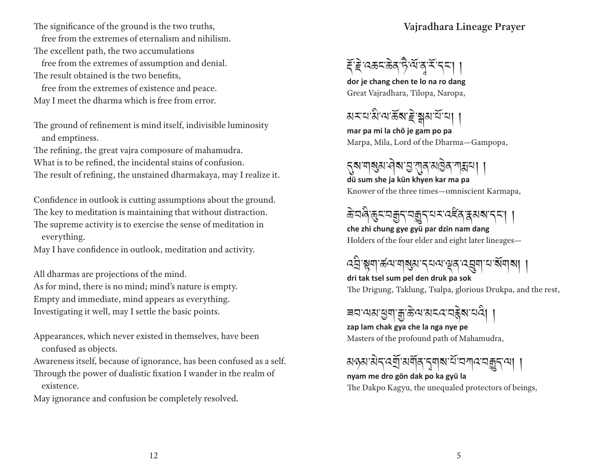The significance of the ground is the two truths,

free from the extremes of eternalism and nihilism.

The excellent path, the two accumulations free from the extremes of assumption and denial. The result obtained is the two benefits,

 free from the extremes of existence and peace. May I meet the dharma which is free from error.

The ground of refinement is mind itself, indivisible luminosity and emptiness.

The refining, the great vajra composure of mahamudra.

What is to be refined, the incidental stains of confusion.

The result of refining, the unstained dharmakaya, may I realize it.

Confidence in outlook is cutting assumptions about the ground. The key to meditation is maintaining that without distraction. The supreme activity is to exercise the sense of meditation in everything.

May I have confidence in outlook, meditation and activity.

All dharmas are projections of the mind. As for mind, there is no mind; mind's nature is empty. Empty and immediate, mind appears as everything. Investigating it well, may I settle the basic points.

Appearances, which never existed in themselves, have been confused as objects.

Awareness itself, because of ignorance, has been confused as a self. Through the power of dualistic fixation I wander in the realm of existence.

May ignorance and confusion be completely resolved.

**Vajradhara Lineage Prayer**



Great Vajradhara, Tilopa, Naropa, **dor je chang chen te lo na ro dang**

<u>য়য়য়৸৻৸ৼঢ়৻৸৻ৼ</u>

Marpa, Mila, Lord of the Dharma—Gampopa, **mar pa mi la chö je gam po pa**

# ন্নুষ'শাৰ্ম্ভম'ঐৰু'স্মুখ । ।

Knower of the three times—omniscient Karmapa, **dü sum she ja kün khyen kar ma pa**

ক্টবৰ্জুহত্মক্ৰুন্নমুহৰেইনম্বৰ্ষমন্ত্ৰ।

Holders of the four elder and eight later lineages **che zhi chung gye gyü par dzin nam dang**

# འ་སྟག་ཚལ་གསུམ་དཔལ་ལྡན་འག་པ་གས། །

The Drigung, Taklung, Tsalpa, glorious Drukpa, and the rest, **dri tak tsel sum pel den druk pa sok**

## <u> ब</u>वायबाधुगाकुळेलात्रदावहेबायदे। ।

Masters of the profound path of Mahamudra, **zap lam chak gya che la nga nye pe**

### <u>য়ড়য়ড়৻ড়য়ৗৣৼয়য়ঢ়৻৸য়ড়৻৸৸</u>

#### The Dakpo Kagyu, the unequaled protectors of beings, **nyam me dro gön dak po ka gyü la**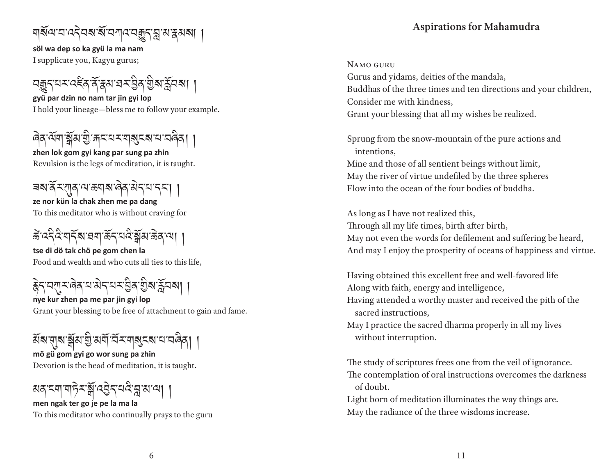# ঘার্ষমের্বেনৰাৰ্ষাৰ আৰু বিভ্ৰাপ্ত ক্ষমৰ

I supplicate you, Kagyu gurus; **söl wa dep so ka gyü la ma nam**

নক্কুনমম্বেইন্স্ক্রিম্বায়ম্ভ্রিষ্ট্রম্মা ।

I hold your lineage—bless me to follow your example. **gyü par dzin no nam tar jin gyi lop**

# ৰিব শ্ৰমাণ্ড্ৰীয় খ্ৰীসাৰ মেৰাৰ্ছ ৰামা নাৰিব।

Revulsion is the legs of meditation, it is taught. **zhen lok gom gyi kang par sung pa zhin**

### **ze nor kün la chak zhen me pa dang** ৰঝ'ৰ্ন্ম'ন্'মাৰ'ঝ'ক্ৰান্ম'ন্ন' । ।

To this meditator who is without craving for

ङे दिदेशबाँ बाद्य स्वयं देखि अस्ति । ।

Food and wealth and who cuts all ties to this life, **tse di dö tak chö pe gom chen la**

ह्नेदय्वाद्यवेदयशेदय्यं के बाह्य के

Grant your blessing to be free of attachment to gain and fame. **nye kur zhen pa me par jin gyi lop**

### **mö gü gom gyi go wor sung pa zhin** ইমি'য়া্ম'য়্ৰীম'শ্ৰী'মৰ্মী'ৰ্মি'মাৰ্মুহম''ম'মৰ্নি। ।

Devotion is the head of meditation, it is taught.

### **men ngak ter go je pe la ma la** མན་ངག་གར་་འད་པ་བླ་མ་ལ། །

To this meditator who continually prays to the guru

### **Aspirations for Mahamudra**

#### Namo guru

Gurus and yidams, deities of the mandala, Buddhas of the three times and ten directions and your children, Consider me with kindness, Grant your blessing that all my wishes be realized.

Sprung from the snow-mountain of the pure actions and intentions,

Mine and those of all sentient beings without limit, May the river of virtue undefiled by the three spheres Flow into the ocean of the four bodies of buddha.

As long as I have not realized this, Through all my life times, birth after birth, May not even the words for defilement and suffering be heard, And may I enjoy the prosperity of oceans of happiness and virtue.

Having obtained this excellent free and well-favored life Along with faith, energy and intelligence, Having attended a worthy master and received the pith of the

sacred instructions,

May I practice the sacred dharma properly in all my lives without interruption.

The study of scriptures frees one from the veil of ignorance. The contemplation of oral instructions overcomes the darkness of doubt.

Light born of meditation illuminates the way things are. May the radiance of the three wisdoms increase.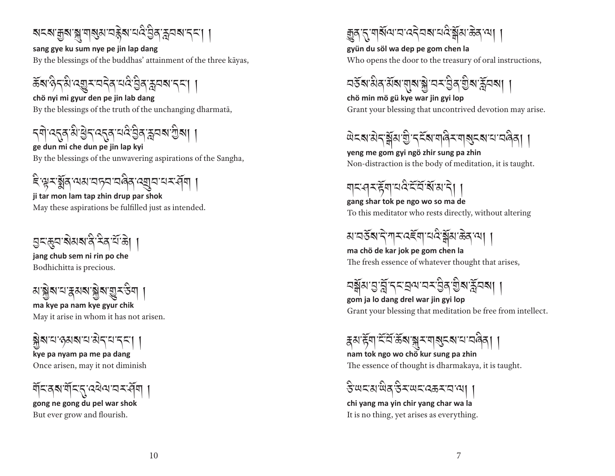<u>য়ৼ৶য়৸৶৸৸ৼৼ৻৻৻৻ঽঀৣঀ৾ৼ৸৻৸</u>

By the blessings of the buddhas' attainment of the three kāyas, **sang gye ku sum nye pe jin lap dang**

ঌয়িম'দ্বীপ্ৰমীসৰ প্ৰত্নৰ বিষ্টি কৰি প্ৰত্নৰ কৰি

By the blessings of the truth of the unchanging dharmatā, **chö nyi mi gyur den pe jin lab dang**

ད་འདུན་་ད་འདུན་པ་ན་ཪླབས་ས། །

By the blessings of the unwavering aspirations of the Sangha, **ge dun mi che dun pe jin lap kyi**

**ji tar mon lam tap zhin drup par shok** ইঞ্জুমর্ক্ষ্ণ অম্বানসমৰী ।

May these aspirations be fulfilled just as intended.

<u> </u>তুন্দ্ৰুন'ৰামৰানী নিৰ্মাজা

Bodhichitta is precious. **jang chub sem ni rin po che**

<u>য়৾ৼৠ৶য়৸য়৸৸৸</u>

May it arise in whom it has not arisen. **ma kye pa nam kye gyur chik**

ষ্ণমানেগ্ৰহণ

Once arisen, may it not diminish **kye pa nyam pa me pa dang** 

**gong ne gong du pel war shok** য়ঁহত্ময়ঁহত্তৰেঅ'ব্যইমা

But ever grow and flourish.

<u>ক</u>্কুৰ'ন'শৰ্মিঅ'ন'বেন্নৰামৰীৰ জিলাৰ।

Who opens the door to the treasury of oral instructions, **gyün du söl wa dep pe gom chen la**

<u> নৰ্</u>হৰামীৰ মৰামান্নাৰাজ্য আৰু নিৰ্বাৰী ।

Grant your blessing that uncontrived devotion may arise. **chö min mö gü kye war jin gyi lop**

<u> ਘੇ</u>द्रू से त्रं अंगुं दर्दे अधाले संगुलुदल सामलेता।

Non-distraction is the body of meditation, it is taught. **yeng me gom gyi ngö zhir sung pa zhin**

ঘাহাৰমন্ট্ৰাঘৰীয়েইজিয়াই

To this meditator who rests directly, without altering **gang shar tok pe ngo wo so ma de**

<u>য়ৼয়ড়য়৸ৼ৸ৼ৻ৼৼ</u>৻ৼ৸ৼ৻ৼ৻ৼ৸

The fresh essence of whatever thought that arises, **ma chö de kar jok pe gom chen la**

<u> নৰ্</u>স্নমান্ত্ৰান্নন্দ্ৰৰ মাজৰ মুখ্য মুখ্য দিৱস্থা ।

Grant your blessing that meditation be free from intellect. **gom ja lo dang drel war jin gyi lop**

རྣམ་ག་་་ས་ར་གསུངས་པ་བན། །

The essence of thought is dharmakaya, it is taught. **nam tok ngo wo chö kur sung pa zhin**

ইঅহুয়াউরউম্অহতেরম্বা ।

It is no thing, yet arises as everything. **chi yang ma yin chir yang char wa la**